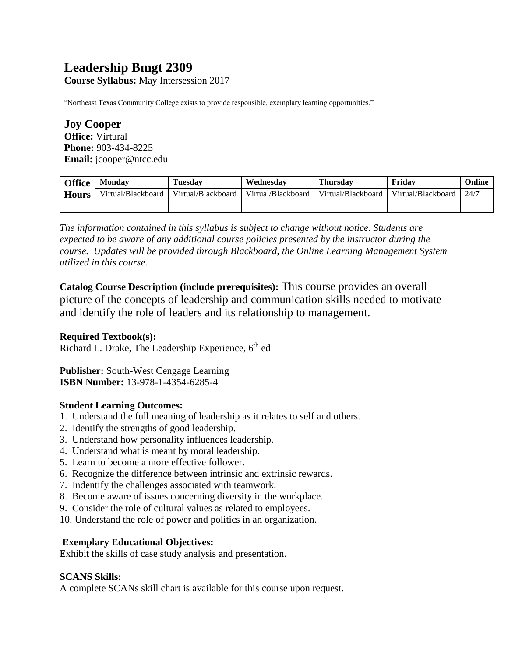# **Leadership Bmgt 2309**

**Course Syllabus:** May Intersession 2017

"Northeast Texas Community College exists to provide responsible, exemplary learning opportunities."

**Joy Cooper Office:** Virtural **Phone:** 903-434-8225 **Email:** jcooper@ntcc.edu

| <b>Office</b> | <b>Monday</b>      | <b>Tuesday</b>     | Wednesdav          | <b>Thursday</b>    | Fridav             | Online |
|---------------|--------------------|--------------------|--------------------|--------------------|--------------------|--------|
| <b>Hours</b>  | Virtual/Blackboard | Virtual/Blackboard | Virtual/Blackboard | Virtual/Blackboard | Virtual/Blackboard | 24/7   |
|               |                    |                    |                    |                    |                    |        |

*The information contained in this syllabus is subject to change without notice. Students are expected to be aware of any additional course policies presented by the instructor during the course. Updates will be provided through Blackboard, the Online Learning Management System utilized in this course.* 

**Catalog Course Description (include prerequisites):** This course provides an overall picture of the concepts of leadership and communication skills needed to motivate and identify the role of leaders and its relationship to management.

#### **Required Textbook(s):**

Richard L. Drake, The Leadership Experience, 6<sup>th</sup> ed

**Publisher:** South-West Cengage Learning **ISBN Number:** 13-978-1-4354-6285-4

# **Student Learning Outcomes:**

- 1. Understand the full meaning of leadership as it relates to self and others.
- 2. Identify the strengths of good leadership.
- 3. Understand how personality influences leadership.
- 4. Understand what is meant by moral leadership.
- 5. Learn to become a more effective follower.
- 6. Recognize the difference between intrinsic and extrinsic rewards.
- 7. Indentify the challenges associated with teamwork.
- 8. Become aware of issues concerning diversity in the workplace.
- 9. Consider the role of cultural values as related to employees.
- 10. Understand the role of power and politics in an organization.

# **Exemplary Educational Objectives:**

Exhibit the skills of case study analysis and presentation.

#### **SCANS Skills:**

A complete SCANs skill chart is available for this course upon request.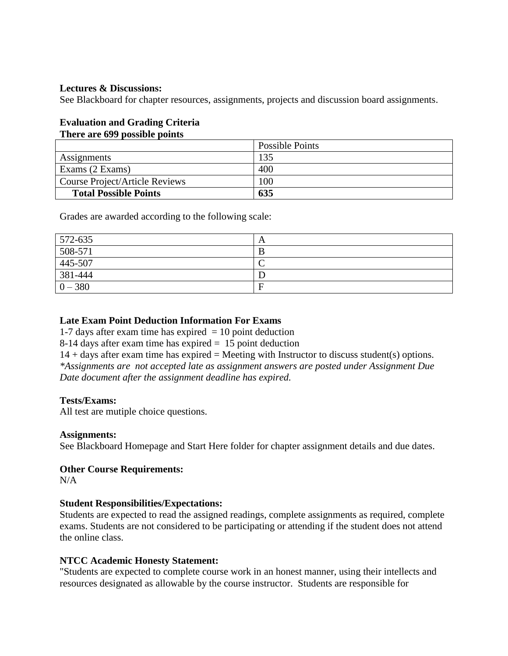#### **Lectures & Discussions:**

See Blackboard for chapter resources, assignments, projects and discussion board assignments.

# **Evaluation and Grading Criteria**

## **There are 699 possible points**

|                                | Possible Points |
|--------------------------------|-----------------|
| Assignments                    | 135             |
| Exams (2 Exams)                | 400             |
| Course Project/Article Reviews | 00              |
| <b>Total Possible Points</b>   | 635             |

Grades are awarded according to the following scale:

| $572-635$ | A |
|-----------|---|
| 508-571   |   |
| 445-507   | ╰ |
| 381-444   |   |
| $0 - 380$ | E |

# **Late Exam Point Deduction Information For Exams**

1-7 days after exam time has expired  $= 10$  point deduction

8-14 days after exam time has expired = 15 point deduction

 $14 + days$  after exam time has expired = Meeting with Instructor to discuss student(s) options. *\*Assignments are not accepted late as assignment answers are posted under Assignment Due Date document after the assignment deadline has expired.* 

#### **Tests/Exams:**

All test are mutiple choice questions.

#### **Assignments:**

See Blackboard Homepage and Start Here folder for chapter assignment details and due dates.

#### **Other Course Requirements:**

 $N/A$ 

#### **Student Responsibilities/Expectations:**

Students are expected to read the assigned readings, complete assignments as required, complete exams. Students are not considered to be participating or attending if the student does not attend the online class.

#### **NTCC Academic Honesty Statement:**

"Students are expected to complete course work in an honest manner, using their intellects and resources designated as allowable by the course instructor. Students are responsible for